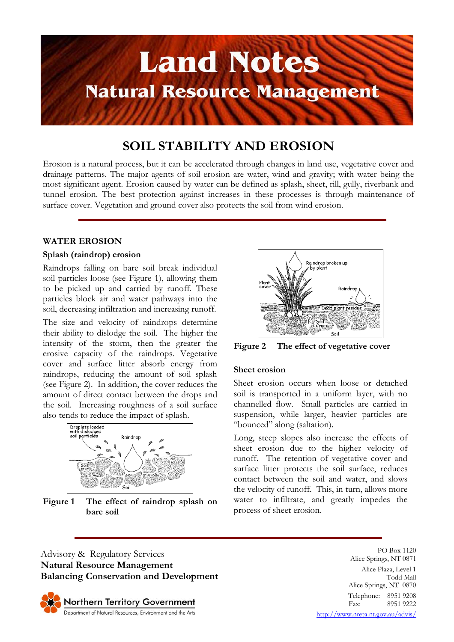

# **SOIL STABILITY AND EROSION**

Erosion is a natural process, but it can be accelerated through changes in land use, vegetative cover and drainage patterns. The major agents of soil erosion are water, wind and gravity; with water being the most significant agent. Erosion caused by water can be defined as splash, sheet, rill, gully, riverbank and tunnel erosion. The best protection against increases in these processes is through maintenance of surface cover. Vegetation and ground cover also protects the soil from wind erosion.

## **WATER EROSION**

## **Splash (raindrop) erosion**

Raindrops falling on bare soil break individual soil particles loose (see Figure 1), allowing them to be picked up and carried by runoff. These particles block air and water pathways into the soil, decreasing infiltration and increasing runoff.

The size and velocity of raindrops determine their ability to dislodge the soil. The higher the intensity of the storm, then the greater the erosive capacity of the raindrops. Vegetative cover and surface litter absorb energy from raindrops, reducing the amount of soil splash (see Figure 2). In addition, the cover reduces the amount of direct contact between the drops and the soil. Increasing roughness of a soil surface also tends to reduce the impact of splash.



**Figure 1 The effect of raindrop splash on bare soil** 



**Figure 2 The effect of vegetative cover** 

#### **Sheet erosion**

Sheet erosion occurs when loose or detached soil is transported in a uniform layer, with no channelled flow. Small particles are carried in suspension, while larger, heavier particles are "bounced" along (saltation).

Long, steep slopes also increase the effects of sheet erosion due to the higher velocity of runoff. The retention of vegetative cover and surface litter protects the soil surface, reduces contact between the soil and water, and slows the velocity of runoff. This, in turn, allows more water to infiltrate, and greatly impedes the process of sheet erosion.

Advisory & Regulatory Services **Natural Resource Management Balancing Conservation and Development**

Northern Territory Government Department of Natural Resources, Environment and the Arts

PO Box 1120 Alice Springs, NT 0871 Alice Plaza, Level 1 Todd Mall Alice Springs, NT 0870 Telephone: 8951 9208<br>Fax: 8951 9222 8951 9222

http://www.nreta.nt.gov.au/advis/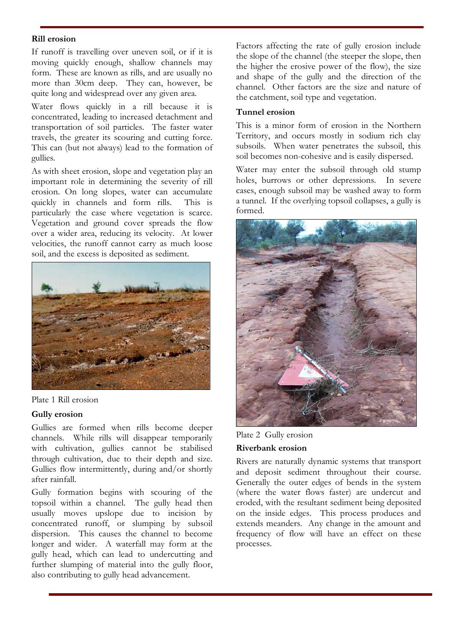# **Rill erosion**

If runoff is travelling over uneven soil, or if it is moving quickly enough, shallow channels may form. These are known as rills, and are usually no more than 30cm deep. They can, however, be quite long and widespread over any given area.

Water flows quickly in a rill because it is concentrated, leading to increased detachment and transportation of soil particles. The faster water travels, the greater its scouring and cutting force. This can (but not always) lead to the formation of gullies.

As with sheet erosion, slope and vegetation play an important role in determining the severity of rill erosion. On long slopes, water can accumulate quickly in channels and form rills. This is particularly the case where vegetation is scarce. Vegetation and ground cover spreads the flow over a wider area, reducing its velocity. At lower velocities, the runoff cannot carry as much loose soil, and the excess is deposited as sediment.



Plate 1 Rill erosion

#### **Gully erosion**

Gullies are formed when rills become deeper channels. While rills will disappear temporarily with cultivation, gullies cannot be stabilised through cultivation, due to their depth and size. Gullies flow intermittently, during and/or shortly after rainfall.

Gully formation begins with scouring of the topsoil within a channel. The gully head then usually moves upslope due to incision by concentrated runoff, or slumping by subsoil dispersion. This causes the channel to become longer and wider. A waterfall may form at the gully head, which can lead to undercutting and further slumping of material into the gully floor, also contributing to gully head advancement.

Factors affecting the rate of gully erosion include the slope of the channel (the steeper the slope, then the higher the erosive power of the flow), the size and shape of the gully and the direction of the channel. Other factors are the size and nature of the catchment, soil type and vegetation.

#### **Tunnel erosion**

This is a minor form of erosion in the Northern Territory, and occurs mostly in sodium rich clay subsoils. When water penetrates the subsoil, this soil becomes non-cohesive and is easily dispersed.

Water may enter the subsoil through old stump holes, burrows or other depressions. In severe cases, enough subsoil may be washed away to form a tunnel. If the overlying topsoil collapses, a gully is formed.



Plate 2 Gully erosion

#### **Riverbank erosion**

Rivers are naturally dynamic systems that transport and deposit sediment throughout their course. Generally the outer edges of bends in the system (where the water flows faster) are undercut and eroded, with the resultant sediment being deposited on the inside edges. This process produces and extends meanders. Any change in the amount and frequency of flow will have an effect on these processes.